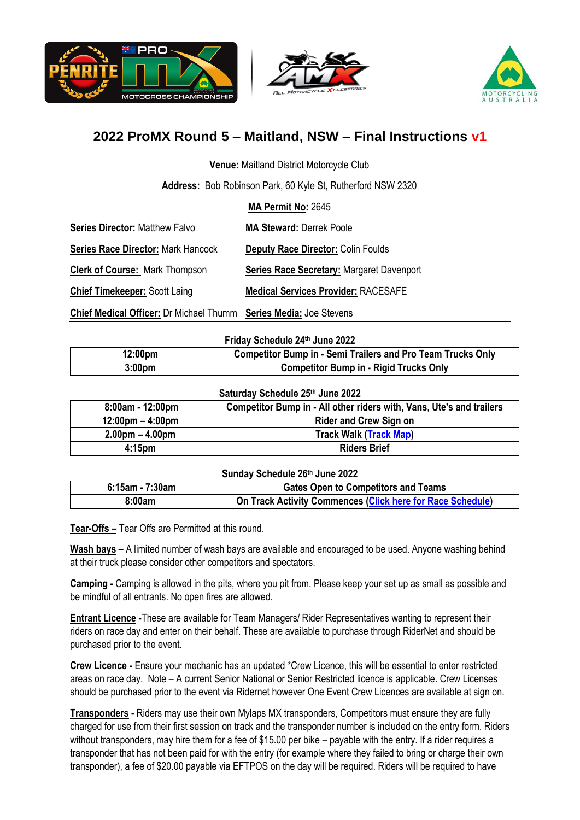





**Venue:** Maitland District Motorcycle Club

**Address:** Bob Robinson Park, 60 Kyle St, Rutherford NSW 2320

**MA Permit No:** 2645

| <b>Series Director: Matthew Falvo</b>     | <b>MA Steward: Derrek Poole</b>                  |
|-------------------------------------------|--------------------------------------------------|
| <b>Series Race Director: Mark Hancock</b> | <b>Deputy Race Director: Colin Foulds</b>        |
| <b>Clerk of Course: Mark Thompson</b>     | <b>Series Race Secretary: Margaret Davenport</b> |
| <b>Chief Timekeeper: Scott Laing</b>      | <b>Medical Services Provider: RACESAFE</b>       |

**Chief Medical Officer:** Dr Michael Thumm **Series Media:** Joe Stevens

**Friday Schedule 24 th June 2022**

| 12:00pm            | <b>Competitor Bump in - Semi Trailers and Pro Team Trucks Only</b> |
|--------------------|--------------------------------------------------------------------|
| 3:00 <sub>pm</sub> | <b>Competitor Bump in - Rigid Trucks Only</b>                      |

#### **Saturday Schedule 25th June 2022**

| 8:00am - 12:00pm                   | Competitor Bump in - All other riders with, Vans, Ute's and trailers |
|------------------------------------|----------------------------------------------------------------------|
| $12:00 \text{pm} - 4:00 \text{pm}$ | <b>Rider and Crew Sign on</b>                                        |
| $2.00pm - 4.00pm$                  | <b>Track Walk (Track Map)</b>                                        |
| 4:15 <sub>pm</sub>                 | <b>Riders Brief</b>                                                  |

#### **Sunday Schedule 26th June 2022**

| $6:15$ am - 7:30am | <b>Gates Open to Competitors and Teams</b>                 |  |
|--------------------|------------------------------------------------------------|--|
| 8:00am             | On Track Activity Commences (Click here for Race Schedule) |  |

**Tear-Offs –** Tear Offs are Permitted at this round.

**Wash bays –** A limited number of wash bays are available and encouraged to be used. Anyone washing behind at their truck please consider other competitors and spectators.

**Camping -** Camping is allowed in the pits, where you pit from. Please keep your set up as small as possible and be mindful of all entrants. No open fires are allowed.

**Entrant Licence -**These are available for Team Managers/ Rider Representatives wanting to represent their riders on race day and enter on their behalf. These are available to purchase through RiderNet and should be purchased prior to the event.

**Crew Licence -** Ensure your mechanic has an updated \*Crew Licence, this will be essential to enter restricted areas on race day. Note – A current Senior National or Senior Restricted licence is applicable. Crew Licenses should be purchased prior to the event via Ridernet however One Event Crew Licences are available at sign on.

**Transponders -** Riders may use their own Mylaps MX transponders, Competitors must ensure they are fully charged for use from their first session on track and the transponder number is included on the entry form. Riders without transponders, may hire them for a fee of \$15.00 per bike – payable with the entry. If a rider requires a transponder that has not been paid for with the entry (for example where they failed to bring or charge their own transponder), a fee of \$20.00 payable via EFTPOS on the day will be required. Riders will be required to have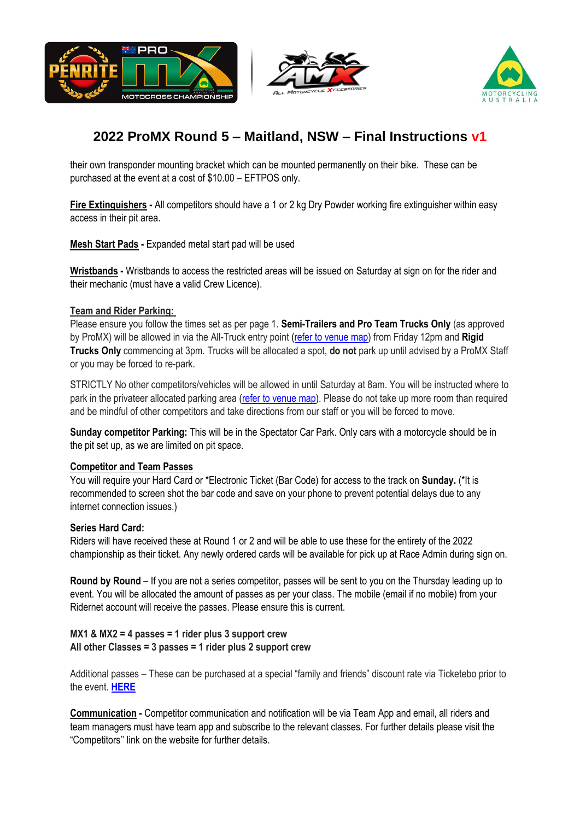





their own transponder mounting bracket which can be mounted permanently on their bike. These can be purchased at the event at a cost of \$10.00 – EFTPOS only.

**Fire Extinguishers -** All competitors should have a 1 or 2 kg Dry Powder working fire extinguisher within easy access in their pit area.

**Mesh Start Pads -** Expanded metal start pad will be used

**Wristbands -** Wristbands to access the restricted areas will be issued on Saturday at sign on for the rider and their mechanic (must have a valid Crew Licence).

#### **Team and Rider Parking:**

Please ensure you follow the times set as per page 1. **Semi-Trailers and Pro Team Trucks Only** (as approved by ProMX) will be allowed in via the All-Truck entry point [\(refer to venue map\)](https://auspromx.com.au/wp-content/uploads/2022/06/ProMX-Round-5-Maitland-Venue-Map-v2.pdf) from Friday 12pm and **Rigid Trucks Only** commencing at 3pm. Trucks will be allocated a spot, **do not** park up until advised by a ProMX Staff or you may be forced to re-park.

STRICTLY No other competitors/vehicles will be allowed in until Saturday at 8am. You will be instructed where to park in the privateer allocated parking area [\(refer to venue map\)](https://auspromx.com.au/wp-content/uploads/2022/06/ProMX-Round-5-Maitland-Venue-Map-v2.pdf). Please do not take up more room than required and be mindful of other competitors and take directions from our staff or you will be forced to move.

**Sunday competitor Parking:** This will be in the Spectator Car Park. Only cars with a motorcycle should be in the pit set up, as we are limited on pit space.

#### **Competitor and Team Passes**

You will require your Hard Card or \*Electronic Ticket (Bar Code) for access to the track on **Sunday.** (\*It is recommended to screen shot the bar code and save on your phone to prevent potential delays due to any internet connection issues.)

#### **Series Hard Card:**

Riders will have received these at Round 1 or 2 and will be able to use these for the entirety of the 2022 championship as their ticket. Any newly ordered cards will be available for pick up at Race Admin during sign on.

**Round by Round** – If you are not a series competitor, passes will be sent to you on the Thursday leading up to event. You will be allocated the amount of passes as per your class. The mobile (email if no mobile) from your Ridernet account will receive the passes. Please ensure this is current.

#### **MX1 & MX2 = 4 passes = 1 rider plus 3 support crew All other Classes = 3 passes = 1 rider plus 2 support crew**

Additional passes – These can be purchased at a special "family and friends" discount rate via Ticketebo prior to the event. **[HERE](https://www.ticketebo.com.au/motorcyclingaustralia/ma-member-competitor-friends-family-discount-tickets-penrite-promx-rd-5.html)**

**Communication -** Competitor communication and notification will be via Team App and email, all riders and team managers must have team app and subscribe to the relevant classes. For further details please visit the "Competitors'' link on the website for further details.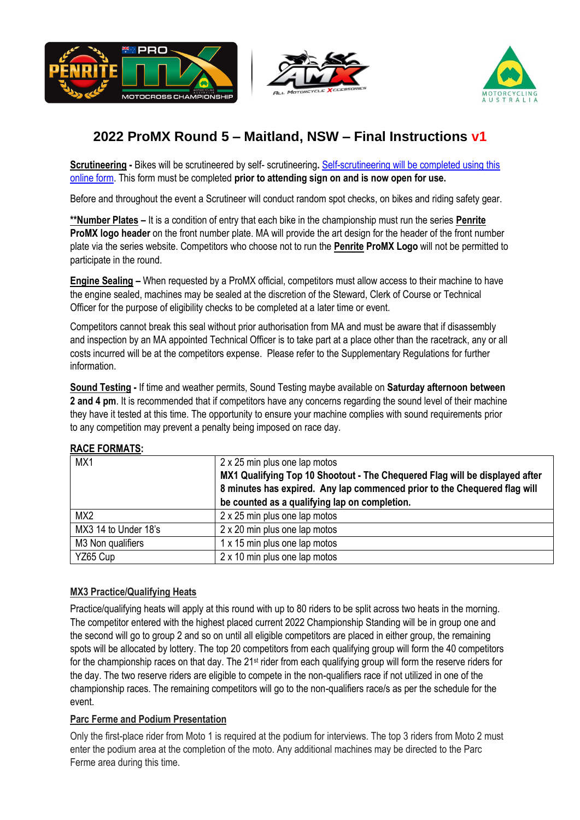





**Scrutineering** - Bikes will be scrutineered by self- scrutineering. Self-scrutineering will be completed using this [online form.](https://auspromx.com.au/self-scrutineering-form/) This form must be completed **prior to attending sign on and is now open for use.** 

Before and throughout the event a Scrutineer will conduct random spot checks, on bikes and riding safety gear.

**\*\*Number Plates –** It is a condition of entry that each bike in the championship must run the series **Penrite ProMX logo header** on the front number plate. MA will provide the art design for the header of the front number plate via the series website. Competitors who choose not to run the **Penrite ProMX Logo** will not be permitted to participate in the round.

**Engine Sealing –** When requested by a ProMX official, competitors must allow access to their machine to have the engine sealed, machines may be sealed at the discretion of the Steward, Clerk of Course or Technical Officer for the purpose of eligibility checks to be completed at a later time or event.

Competitors cannot break this seal without prior authorisation from MA and must be aware that if disassembly and inspection by an MA appointed Technical Officer is to take part at a place other than the racetrack, any or all costs incurred will be at the competitors expense. Please refer to the Supplementary Regulations for further information.

**Sound Testing -** If time and weather permits, Sound Testing maybe available on **Saturday afternoon between**  2 and 4 pm. It is recommended that if competitors have any concerns regarding the sound level of their machine they have it tested at this time. The opportunity to ensure your machine complies with sound requirements prior to any competition may prevent a penalty being imposed on race day.

| MX1                  | 2 x 25 min plus one lap motos<br>MX1 Qualifying Top 10 Shootout - The Chequered Flag will be displayed after<br>8 minutes has expired. Any lap commenced prior to the Chequered flag will<br>be counted as a qualifying lap on completion. |
|----------------------|--------------------------------------------------------------------------------------------------------------------------------------------------------------------------------------------------------------------------------------------|
| MX <sub>2</sub>      | 2 x 25 min plus one lap motos                                                                                                                                                                                                              |
| MX3 14 to Under 18's | 2 x 20 min plus one lap motos                                                                                                                                                                                                              |
| M3 Non qualifiers    | 1 x 15 min plus one lap motos                                                                                                                                                                                                              |
| YZ65 Cup             | 2 x 10 min plus one lap motos                                                                                                                                                                                                              |

### **RACE FORMATS:**

### **MX3 Practice/Qualifying Heats**

Practice/qualifying heats will apply at this round with up to 80 riders to be split across two heats in the morning. The competitor entered with the highest placed current 2022 Championship Standing will be in group one and the second will go to group 2 and so on until all eligible competitors are placed in either group, the remaining spots will be allocated by lottery. The top 20 competitors from each qualifying group will form the 40 competitors for the championship races on that day. The 21<sup>st</sup> rider from each qualifying group will form the reserve riders for the day. The two reserve riders are eligible to compete in the non-qualifiers race if not utilized in one of the championship races. The remaining competitors will go to the non-qualifiers race/s as per the schedule for the event.

### **Parc Ferme and Podium Presentation**

Only the first-place rider from Moto 1 is required at the podium for interviews. The top 3 riders from Moto 2 must enter the podium area at the completion of the moto. Any additional machines may be directed to the Parc Ferme area during this time.